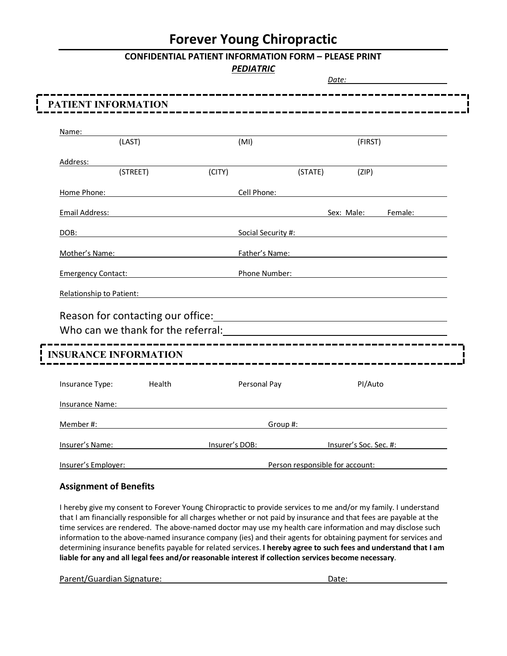## **Forever Young Chiropractic**

### **CONFIDENTIAL PATIENT INFORMATION FORM – PLEASE PRINT**

#### *PEDIATRIC*

|                                                                       |          |                |                             | Date:                           |                        |         |
|-----------------------------------------------------------------------|----------|----------------|-----------------------------|---------------------------------|------------------------|---------|
| PATIENT INFORMATION                                                   |          |                |                             |                                 |                        |         |
|                                                                       |          |                |                             |                                 |                        |         |
| Name:                                                                 | (LAST)   |                | (MI)                        |                                 | (FIRST)                |         |
| Address:                                                              |          |                |                             |                                 |                        |         |
|                                                                       | (STREET) | (CITY)         |                             | (STATE)                         | (ZIP)                  |         |
| Home Phone:                                                           |          |                | Cell Phone:                 |                                 |                        |         |
| <b>Email Address:</b>                                                 |          |                |                             |                                 | Sex: Male:             | Female: |
| DOB:                                                                  |          |                | Social Security #:          |                                 |                        |         |
| Mother's Name:                                                        |          |                | Father's Name:              |                                 |                        |         |
| <b>Emergency Contact:</b> Emergency Contact:                          |          |                | Phone Number:               |                                 |                        |         |
| Relationship to Patient:                                              |          |                |                             |                                 |                        |         |
|                                                                       |          |                |                             |                                 |                        |         |
| Who can we thank for the referral: Who can we thank for the referral: |          |                |                             |                                 |                        |         |
| <b>INSURANCE INFORMATION</b>                                          |          |                | --------------------------- |                                 |                        |         |
|                                                                       |          |                |                             |                                 |                        |         |
| Insurance Type:                                                       | Health   |                | Personal Pay                |                                 | PI/Auto                |         |
| <b>Insurance Name:</b>                                                |          |                |                             |                                 |                        |         |
| Member #:                                                             |          |                | Group #:                    |                                 |                        |         |
| Insurer's Name:                                                       |          | Insurer's DOB: |                             |                                 | Insurer's Soc. Sec. #: |         |
| Insurer's Employer:                                                   |          |                |                             | Person responsible for account: |                        |         |

#### **Assignment of Benefits**

I hereby give my consent to Forever Young Chiropractic to provide services to me and/or my family. I understand that I am financially responsible for all charges whether or not paid by insurance and that fees are payable at the time services are rendered. The above-named doctor may use my health care information and may disclose such information to the above-named insurance company (ies) and their agents for obtaining payment for services and determining insurance benefits payable for related services. **I hereby agree to such fees and understand that I am liable for any and all legal fees and/or reasonable interest if collection services become necessary**.

Parent/Guardian Signature: Date: Date: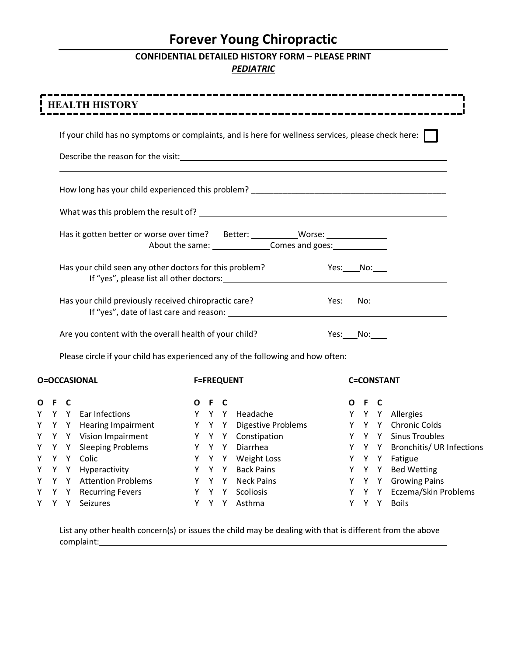# **Forever Young Chiropractic**

## **CONFIDENTIAL DETAILED HISTORY FORM – PLEASE PRINT** *PEDIATRIC*

|       |       | <b>HEALTH HISTORY</b>                                                                                     |       |                   | . <u>.</u> .                    |                     |       |       |                                            |
|-------|-------|-----------------------------------------------------------------------------------------------------------|-------|-------------------|---------------------------------|---------------------|-------|-------|--------------------------------------------|
|       |       | If your child has no symptoms or complaints, and is here for wellness services, please check here: $\Box$ |       |                   |                                 |                     |       |       |                                            |
|       |       |                                                                                                           |       |                   |                                 |                     |       |       |                                            |
|       |       |                                                                                                           |       |                   |                                 |                     |       |       |                                            |
|       |       |                                                                                                           |       |                   |                                 |                     |       |       |                                            |
|       |       | Has it gotten better or worse over time? Better: ___________Worse: _____________                          |       |                   | About the same: Comes and goes: |                     |       |       |                                            |
|       |       | Has your child seen any other doctors for this problem?                                                   |       |                   | <b>Example STEE:</b> No: No:    |                     |       |       |                                            |
|       |       | Has your child previously received chiropractic care?                                                     |       |                   |                                 | Yes: ____ No: _____ |       |       |                                            |
|       |       | Are you content with the overall health of your child?                                                    |       |                   |                                 | Yes: No:            |       |       |                                            |
|       |       | Please circle if your child has experienced any of the following and how often:                           |       |                   |                                 |                     |       |       |                                            |
|       |       | <b>O=OCCASIONAL</b>                                                                                       |       | <b>F=FREQUENT</b> |                                 |                     |       |       | <b>C=CONSTANT</b>                          |
| O F C |       |                                                                                                           | O F C |                   |                                 |                     | O F C |       |                                            |
|       |       | Y Y Y Ear Infections                                                                                      |       |                   | Y Y Y Headache                  |                     |       |       | Y Y Y Allergies                            |
|       |       | Y Y Y Hearing Impairment                                                                                  |       |                   | Y Y Y Digestive Problems        |                     |       |       | Y Y Y Chronic Colds                        |
|       |       | Y Y Y Vision Impairment                                                                                   |       |                   | Y Y Y Constipation              |                     |       |       | Y Y Y Sinus Troubles                       |
|       |       | Y Y Y Sleeping Problems                                                                                   |       |                   | Y Y Y Diarrhea                  |                     |       |       | Y Y Y Bronchitis/ UR Infections            |
|       |       | Y Y Y Colic                                                                                               |       |                   | Y Y Y Weight Loss               |                     |       |       | Y Y Y Fatigue                              |
|       |       | Y Y Y Hyperactivity                                                                                       |       |                   | Y Y Y Back Pains                |                     |       |       | Y Y Y Bed Wetting                          |
|       |       | Y Y Y Attention Problems                                                                                  |       |                   | Y Y Y Neck Pains                |                     |       |       | Y Y Y Growing Pains                        |
|       | Y Y Y | Y Y Y Recurring Fevers                                                                                    |       | Y Y Y             | Y Y Y Scoliosis                 |                     |       | Y Y Y | Y Y Y Eczema/Skin Problems<br><b>Boils</b> |
|       |       | Seizures                                                                                                  |       |                   | Asthma                          |                     |       |       |                                            |

List any other health concern(s) or issues the child may be dealing with that is different from the above complaint: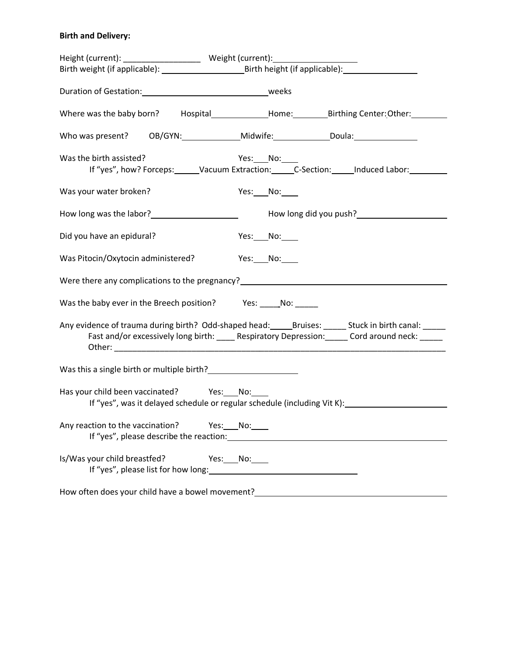## **Birth and Delivery:**

| Height (current): _______________________ Weight (current): ____________________                                               |                                                                                                                                                                                                                                    |
|--------------------------------------------------------------------------------------------------------------------------------|------------------------------------------------------------------------------------------------------------------------------------------------------------------------------------------------------------------------------------|
|                                                                                                                                |                                                                                                                                                                                                                                    |
|                                                                                                                                |                                                                                                                                                                                                                                    |
|                                                                                                                                | Where was the baby born? Hospital________________Home:_________________Birthing Center: Other: __________                                                                                                                          |
|                                                                                                                                | Who was present? OB/GYN: _______________Midwife: _______________Doula: ________________                                                                                                                                            |
| Was the birth assisted?                                                                                                        | Yes: $No:$<br>If "yes", how? Forceps: Vacuum Extraction: C-Section: Induced Labor: 1997                                                                                                                                            |
| Was your water broken?                                                                                                         | Yes: No:                                                                                                                                                                                                                           |
| How long was the labor?<br><u>Letter and the substance of the substance of the substance of the substance of the substance</u> | How long did you push?<br>Move long did you push?<br>Move long that the set of the set of the set of the set of the set of the set of the set of the set of the set of the set of the set of the set of the set of the set of the  |
| Did you have an epidural?                                                                                                      | Yes: ____ No: _____                                                                                                                                                                                                                |
| Was Pitocin/Oxytocin administered?                                                                                             | Yes: $\_\_$ No: $\_\_$                                                                                                                                                                                                             |
|                                                                                                                                | Were there any complications to the pregnancy?<br>Mere there any complications to the pregnancy?<br>Mere the manuscription of the state of the state of the state of the state of the state of the state of the state of the state |
| Was the baby ever in the Breech position? Yes: No:                                                                             |                                                                                                                                                                                                                                    |
|                                                                                                                                | Any evidence of trauma during birth? Odd-shaped head: ______Bruises: ______ Stuck in birth canal: _____<br>Fast and/or excessively long birth: _____ Respiratory Depression: ______ Cord around neck: ______                       |
| Was this a single birth or multiple birth?<br><u>Letting</u>                                                                   |                                                                                                                                                                                                                                    |
| Has your child been vaccinated? Yes: No:                                                                                       | If "yes", was it delayed schedule or regular schedule (including Vit K):                                                                                                                                                           |
| Any reaction to the vaccination? Yes: No:                                                                                      | If "yes", please describe the reaction: The state of the state of the state of the state of the state of the state of the state of the state of the state of the state of the state of the state of the state of the state of      |
| Is/Was your child breastfed?                                                                                                   | $Yes:$ No:                                                                                                                                                                                                                         |
|                                                                                                                                | How often does your child have a bowel movement?________________________________                                                                                                                                                   |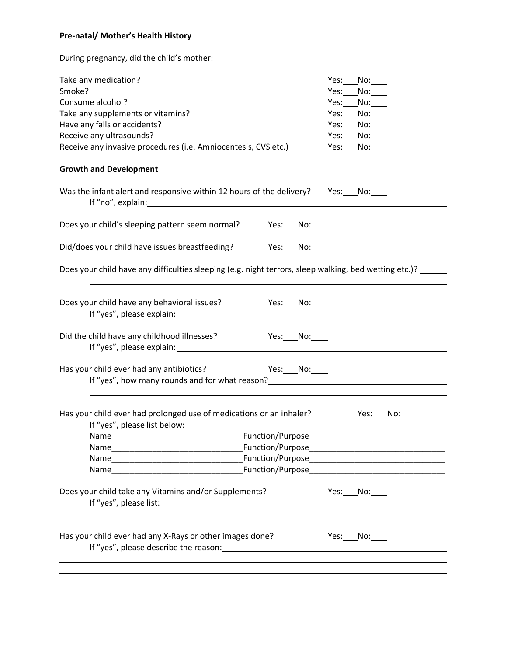## **Pre-natal/ Mother's Health History**

During pregnancy, did the child's mother:

| Take any medication?<br>Smoke?<br>Consume alcohol?<br>Take any supplements or vitamins?<br>Have any falls or accidents?<br>Receive any ultrasounds?<br>Receive any invasive procedures (i.e. Amniocentesis, CVS etc.)                                                                                           | Yes:<br>No:<br>Yes:<br>No:<br>Yes:<br>No:<br>Yes:<br>No:<br>Yes:<br>$No:\_\_$<br>Yes:<br>No:<br>Yes:<br>No:   |  |  |  |
|-----------------------------------------------------------------------------------------------------------------------------------------------------------------------------------------------------------------------------------------------------------------------------------------------------------------|---------------------------------------------------------------------------------------------------------------|--|--|--|
| <b>Growth and Development</b>                                                                                                                                                                                                                                                                                   |                                                                                                               |  |  |  |
| Was the infant alert and responsive within 12 hours of the delivery? Yes: No:<br>If "no", explain: The contract of the contract of the contract of the contract of the contract of the contract of the contract of the contract of the contract of the contract of the contract of the contract of the contract |                                                                                                               |  |  |  |
| Does your child's sleeping pattern seem normal? Yes: No:                                                                                                                                                                                                                                                        |                                                                                                               |  |  |  |
| Did/does your child have issues breastfeeding? Yes: No:                                                                                                                                                                                                                                                         |                                                                                                               |  |  |  |
| Does your child have any difficulties sleeping (e.g. night terrors, sleep walking, bed wetting etc.)?                                                                                                                                                                                                           |                                                                                                               |  |  |  |
| Does your child have any behavioral issues?<br>$Yes:$ No:<br>If "yes", please explain: Law and the state of the state of the state of the state of the state of the state of the state of the state of the state of the state of the state of the state of the state of the state of the st                     |                                                                                                               |  |  |  |
| Did the child have any childhood illnesses?<br><b>Participal Property</b> No: <u>Note</u>                                                                                                                                                                                                                       |                                                                                                               |  |  |  |
| Has your child ever had any antibiotics? Ves: No:<br>If "yes", how many rounds and for what reason?<br>Some section of the same set of the set of the set of the set of the set of the set of the set of the set of the set of the set of the set of the set of the set of the set of                           |                                                                                                               |  |  |  |
| Has your child ever had prolonged use of medications or an inhaler?<br>If "yes", please list below:                                                                                                                                                                                                             | Yes: No:                                                                                                      |  |  |  |
| Name                                                                                                                                                                                                                                                                                                            |                                                                                                               |  |  |  |
|                                                                                                                                                                                                                                                                                                                 |                                                                                                               |  |  |  |
| Name and the state of the state of the state of the state of the state of the state of the state of the state of the state of the state of the state of the state of the state of the state of the state of the state of the s                                                                                  | Function/Purpose entrance and the contract of the contract of the contract of the contract of the contract of |  |  |  |
| Does your child take any Vitamins and/or Supplements?                                                                                                                                                                                                                                                           | Yes: No:                                                                                                      |  |  |  |
| Has your child ever had any X-Rays or other images done?                                                                                                                                                                                                                                                        | Yes: $No:$                                                                                                    |  |  |  |
|                                                                                                                                                                                                                                                                                                                 |                                                                                                               |  |  |  |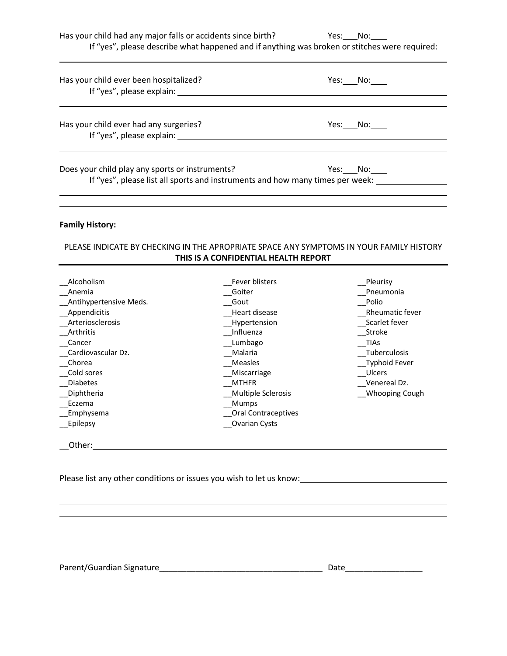Has your child had any major falls or accidents since birth? Yes: No:

If "yes", please describe what happened and if anything was broken or stitches were required:

| Has your child ever been hospitalized?<br>If "yes", please explain:                                                              | Yes: No: |
|----------------------------------------------------------------------------------------------------------------------------------|----------|
| Has your child ever had any surgeries?<br>If "yes", please explain:                                                              | Yes: No: |
| Does your child play any sports or instruments?<br>If "yes", please list all sports and instruments and how many times per week: | Yes: No: |
|                                                                                                                                  |          |

#### **Family History:**

#### PLEASE INDICATE BY CHECKING IN THE APROPRIATE SPACE ANY SYMPTOMS IN YOUR FAMILY HISTORY **THIS IS A CONFIDENTIAL HEALTH REPORT**

| Alcoholism             | Fever blisters      | Pleurisy        |
|------------------------|---------------------|-----------------|
| Anemia                 | Goiter              | Pneumonia       |
| Antihypertensive Meds. | Gout                | Polio           |
| Appendicitis           | Heart disease       | Rheumatic fever |
| Arteriosclerosis       | Hypertension        | Scarlet fever   |
| Arthritis              | Influenza           | Stroke          |
| Cancer                 | Lumbago             | TIAs            |
| Cardiovascular Dz.     | Malaria             | Tuberculosis    |
| Chorea                 | Measles             | Typhoid Fever   |
| Cold sores             | Miscarriage         | Ulcers          |
| <b>Diabetes</b>        | <b>MTHFR</b>        | Venereal Dz.    |
| Diphtheria             | Multiple Sclerosis  | Whooping Cough  |
| Eczema                 | Mumps               |                 |
| Emphysema              | Oral Contraceptives |                 |
| _Epilepsy              | Ovarian Cysts       |                 |
| Other:                 |                     |                 |

<u> 1989 - Johann Stoff, amerikansk politiker (d. 1989)</u>

Please list any other conditions or issues you wish to let us know:

Parent/Guardian Signature\_\_\_\_\_\_\_\_\_\_\_\_\_\_\_\_\_\_\_\_\_\_\_\_\_\_\_\_\_\_\_\_\_\_\_\_ Date\_\_\_\_\_\_\_\_\_\_\_\_\_\_\_\_\_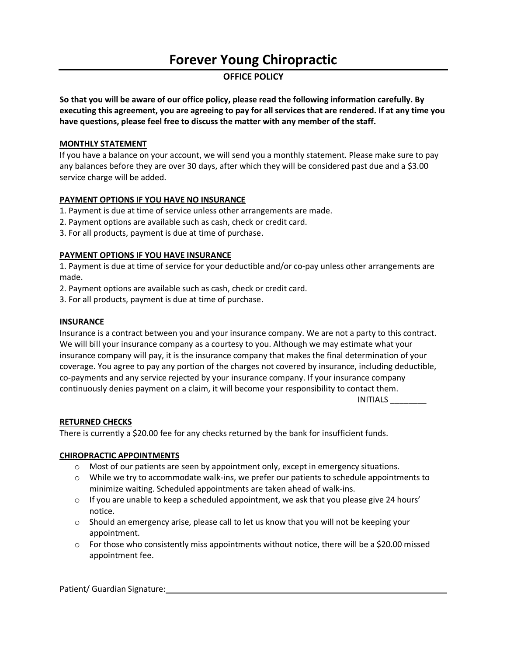# **Forever Young Chiropractic**

### **OFFICE POLICY**

**So that you will be aware of our office policy, please read the following information carefully. By executing this agreement, you are agreeing to pay for all services that are rendered. If at any time you have questions, please feel free to discuss the matter with any member of the staff.** 

#### **MONTHLY STATEMENT**

If you have a balance on your account, we will send you a monthly statement. Please make sure to pay any balances before they are over 30 days, after which they will be considered past due and a \$3.00 service charge will be added.

#### **PAYMENT OPTIONS IF YOU HAVE NO INSURANCE**

- 1. Payment is due at time of service unless other arrangements are made.
- 2. Payment options are available such as cash, check or credit card.
- 3. For all products, payment is due at time of purchase.

#### **PAYMENT OPTIONS IF YOU HAVE INSURANCE**

1. Payment is due at time of service for your deductible and/or co-pay unless other arrangements are made.

- 2. Payment options are available such as cash, check or credit card.
- 3. For all products, payment is due at time of purchase.

#### **INSURANCE**

Insurance is a contract between you and your insurance company. We are not a party to this contract. We will bill your insurance company as a courtesy to you. Although we may estimate what your insurance company will pay, it is the insurance company that makes the final determination of your coverage. You agree to pay any portion of the charges not covered by insurance, including deductible, co-payments and any service rejected by your insurance company. If your insurance company continuously denies payment on a claim, it will become your responsibility to contact them.

INITIALS \_\_\_\_\_\_\_\_

#### **RETURNED CHECKS**

There is currently a \$20.00 fee for any checks returned by the bank for insufficient funds.

#### **CHIROPRACTIC APPOINTMENTS**

- $\circ$  Most of our patients are seen by appointment only, except in emergency situations.
- $\circ$  While we try to accommodate walk-ins, we prefer our patients to schedule appointments to minimize waiting. Scheduled appointments are taken ahead of walk-ins.
- $\circ$  If you are unable to keep a scheduled appointment, we ask that you please give 24 hours' notice.
- $\circ$  Should an emergency arise, please call to let us know that you will not be keeping your appointment.
- $\circ$  For those who consistently miss appointments without notice, there will be a \$20.00 missed appointment fee.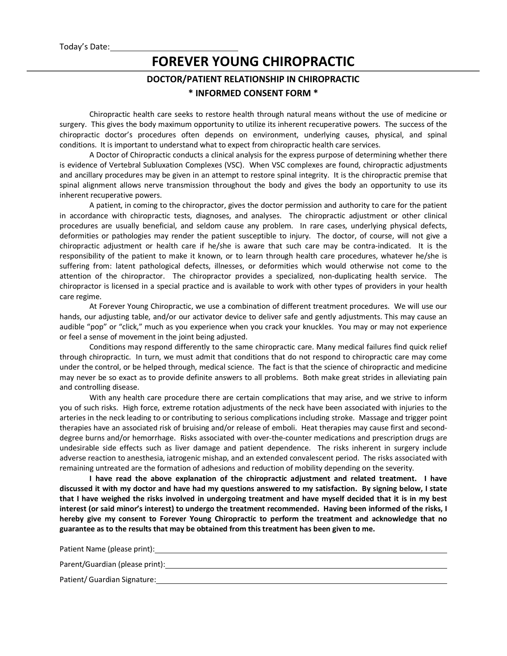# **FOREVER YOUNG CHIROPRACTIC**

## **DOCTOR/PATIENT RELATIONSHIP IN CHIROPRACTIC \* INFORMED CONSENT FORM \***

Chiropractic health care seeks to restore health through natural means without the use of medicine or surgery. This gives the body maximum opportunity to utilize its inherent recuperative powers. The success of the chiropractic doctor's procedures often depends on environment, underlying causes, physical, and spinal conditions. It is important to understand what to expect from chiropractic health care services.

A Doctor of Chiropractic conducts a clinical analysis for the express purpose of determining whether there is evidence of Vertebral Subluxation Complexes (VSC). When VSC complexes are found, chiropractic adjustments and ancillary procedures may be given in an attempt to restore spinal integrity. It is the chiropractic premise that spinal alignment allows nerve transmission throughout the body and gives the body an opportunity to use its inherent recuperative powers.

A patient, in coming to the chiropractor, gives the doctor permission and authority to care for the patient in accordance with chiropractic tests, diagnoses, and analyses. The chiropractic adjustment or other clinical procedures are usually beneficial, and seldom cause any problem. In rare cases, underlying physical defects, deformities or pathologies may render the patient susceptible to injury. The doctor, of course, will not give a chiropractic adjustment or health care if he/she is aware that such care may be contra-indicated. It is the responsibility of the patient to make it known, or to learn through health care procedures, whatever he/she is suffering from: latent pathological defects, illnesses, or deformities which would otherwise not come to the attention of the chiropractor. The chiropractor provides a specialized, non-duplicating health service. The chiropractor is licensed in a special practice and is available to work with other types of providers in your health care regime.

At Forever Young Chiropractic, we use a combination of different treatment procedures. We will use our hands, our adjusting table, and/or our activator device to deliver safe and gently adjustments. This may cause an audible "pop" or "click," much as you experience when you crack your knuckles. You may or may not experience or feel a sense of movement in the joint being adjusted.

Conditions may respond differently to the same chiropractic care. Many medical failures find quick relief through chiropractic. In turn, we must admit that conditions that do not respond to chiropractic care may come under the control, or be helped through, medical science. The fact is that the science of chiropractic and medicine may never be so exact as to provide definite answers to all problems. Both make great strides in alleviating pain and controlling disease.

With any health care procedure there are certain complications that may arise, and we strive to inform you of such risks. High force, extreme rotation adjustments of the neck have been associated with injuries to the arteries in the neck leading to or contributing to serious complications including stroke. Massage and trigger point therapies have an associated risk of bruising and/or release of emboli. Heat therapies may cause first and seconddegree burns and/or hemorrhage. Risks associated with over-the-counter medications and prescription drugs are undesirable side effects such as liver damage and patient dependence. The risks inherent in surgery include adverse reaction to anesthesia, iatrogenic mishap, and an extended convalescent period. The risks associated with remaining untreated are the formation of adhesions and reduction of mobility depending on the severity.

**I have read the above explanation of the chiropractic adjustment and related treatment. I have discussed it with my doctor and have had my questions answered to my satisfaction. By signing below, I state that I have weighed the risks involved in undergoing treatment and have myself decided that it is in my best interest (or said minor's interest) to undergo the treatment recommended. Having been informed of the risks, I hereby give my consent to Forever Young Chiropractic to perform the treatment and acknowledge that no guarantee as to the results that may be obtained from this treatment has been given to me.**

Patient Name (please print):

Parent/Guardian (please print):

Patient/ Guardian Signature: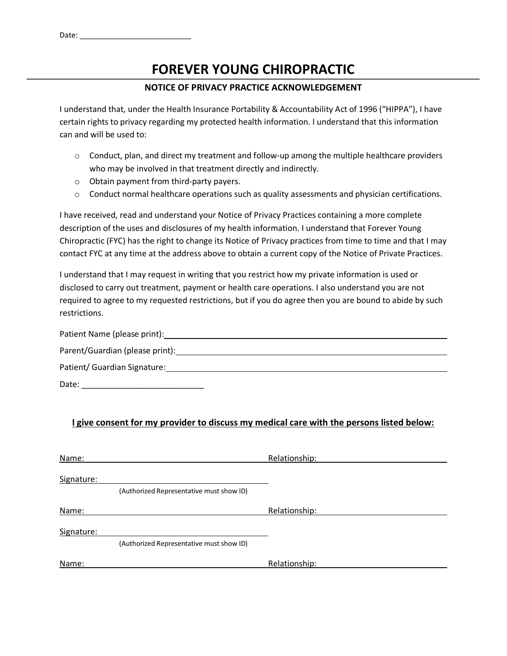# **FOREVER YOUNG CHIROPRACTIC**

### **NOTICE OF PRIVACY PRACTICE ACKNOWLEDGEMENT**

I understand that, under the Health Insurance Portability & Accountability Act of 1996 ("HIPPA"), I have certain rights to privacy regarding my protected health information. I understand that this information can and will be used to:

- $\circ$  Conduct, plan, and direct my treatment and follow-up among the multiple healthcare providers who may be involved in that treatment directly and indirectly.
- o Obtain payment from third-party payers.
- $\circ$  Conduct normal healthcare operations such as quality assessments and physician certifications.

I have received, read and understand your Notice of Privacy Practices containing a more complete description of the uses and disclosures of my health information. I understand that Forever Young Chiropractic (FYC) has the right to change its Notice of Privacy practices from time to time and that I may contact FYC at any time at the address above to obtain a current copy of the Notice of Private Practices.

I understand that I may request in writing that you restrict how my private information is used or disclosed to carry out treatment, payment or health care operations. I also understand you are not required to agree to my requested restrictions, but if you do agree then you are bound to abide by such restrictions.

| Patient Name (please print):                                        |
|---------------------------------------------------------------------|
|                                                                     |
| Patient/ Guardian Signature: Management Control of Table 1 and 2014 |
| Date:                                                               |

### **I give consent for my provider to discuss my medical care with the persons listed below:**

| Name:      |                                          | Relationship: |
|------------|------------------------------------------|---------------|
| Signature: |                                          |               |
|            | (Authorized Representative must show ID) |               |
| Name:      |                                          | Relationship: |
| Signature: |                                          |               |
|            | (Authorized Representative must show ID) |               |
| Name:      |                                          | Relationship: |